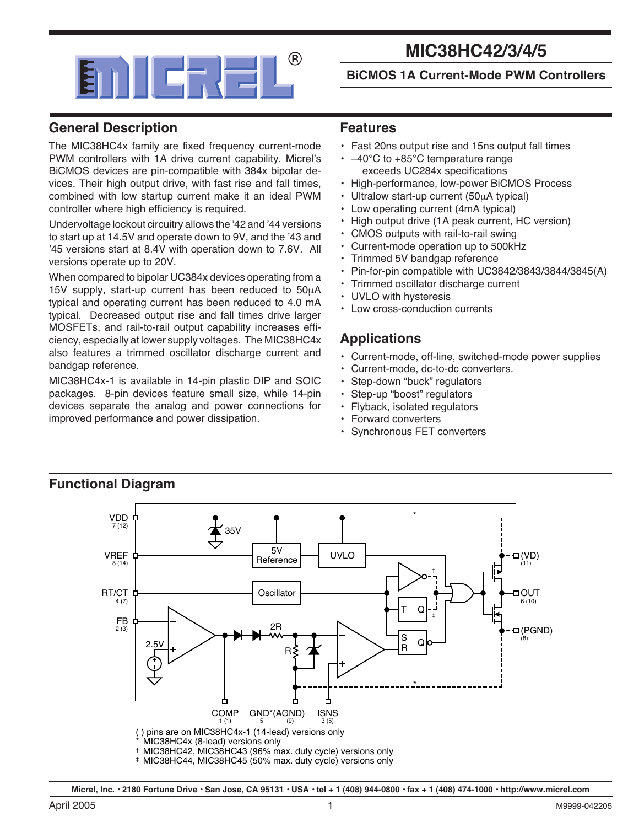

# **MIC38HC42/3/4/5**

#### **BiCMOS 1A Current-Mode PWM Controllers**

### **General Description**

The MIC38HC4x family are fixed frequency current-mode PWM controllers with 1A drive current capability. Micrel's BiCMOS devices are pin-compatible with 384x bipolar devices. Their high output drive, with fast rise and fall times, combined with low startup current make it an ideal PWM controller where high efficiency is required.

Undervoltage lockout circuitry allows the '42 and '44 versions to start up at 14.5V and operate down to 9V, and the '43 and '45 versions start at 8.4V with operation down to 7.6V. All versions operate up to 20V.

When compared to bipolar UC384x devices operating from a 15V supply, start-up current has been reduced to 50µA typical and operating current has been reduced to 4.0 mA typical. Decreased output rise and fall times drive larger MOSFETs, and rail-to-rail output capability increases efficiency, especially at lower supply voltages. The MIC38HC4x also features a trimmed oscillator discharge current and bandgap reference.

MIC38HC4x-1 is available in 14-pin plastic DIP and SOIC packages. 8-pin devices feature small size, while 14-pin devices separate the analog and power connections for improved performance and power dissipation.

#### **Features**

- Fast 20ns output rise and 15ns output fall times
- $\cdot$  -40°C to +85°C temperature range exceeds UC284x specifications
- High-performance, low-power BiCMOS Process
- Ultralow start-up current (50µA typical)
- Low operating current (4mA typical)
- High output drive (1A peak current, HC version)
- CMOS outputs with rail-to-rail swing
- Current-mode operation up to 500kHz
- Trimmed 5V bandgap reference
- Pin-for-pin compatible with UC3842/3843/3844/3845(A)
- Trimmed oscillator discharge current
- UVLO with hysteresis
- Low cross-conduction currents

#### **Applications**

- Current-mode, off-line, switched-mode power supplies
- Current-mode, dc-to-dc converters.
- Step-down "buck" regulators
- Step-up "boost" regulators
- Flyback, isolated regulators
- Forward converters
- Synchronous FET converters



† MIC38HC42, MIC38HC43 (96% max. duty cycle) versions only

‡ MIC38HC44, MIC38HC45 (50% max. duty cycle) versions only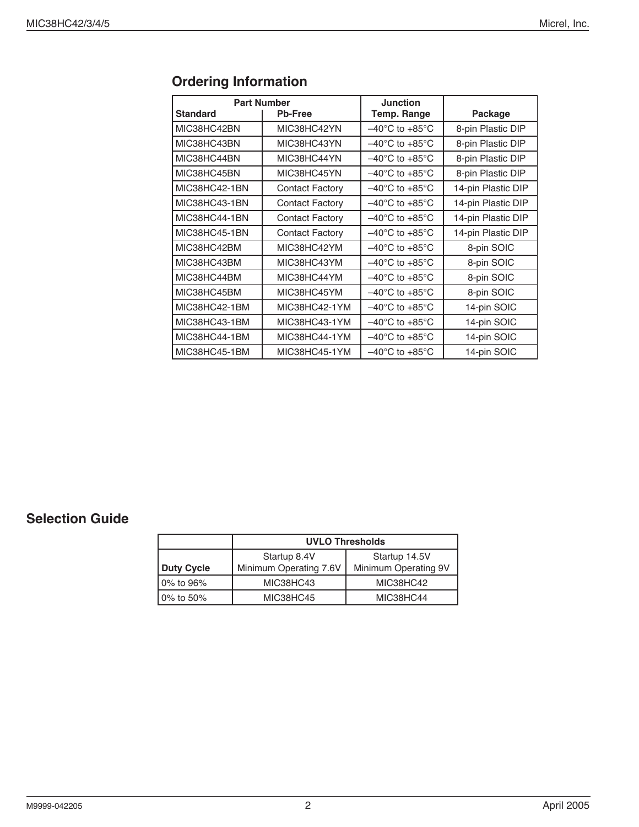| <b>Part Number</b> |                        | <b>Junction</b>                    |                    |
|--------------------|------------------------|------------------------------------|--------------------|
| <b>Standard</b>    | <b>Pb-Free</b>         | Temp. Range                        | Package            |
| MIC38HC42BN        | MIC38HC42YN            | $-40^{\circ}$ C to $+85^{\circ}$ C | 8-pin Plastic DIP  |
| MIC38HC43BN        | MIC38HC43YN            | $-40^{\circ}$ C to $+85^{\circ}$ C | 8-pin Plastic DIP  |
| MIC38HC44BN        | MIC38HC44YN            | $-40^{\circ}$ C to $+85^{\circ}$ C | 8-pin Plastic DIP  |
| MIC38HC45BN        | MIC38HC45YN            | $-40^{\circ}$ C to $+85^{\circ}$ C | 8-pin Plastic DIP  |
| MIC38HC42-1BN      | <b>Contact Factory</b> | $-40^{\circ}$ C to $+85^{\circ}$ C | 14-pin Plastic DIP |
| MIC38HC43-1BN      | <b>Contact Factory</b> | $-40^{\circ}$ C to $+85^{\circ}$ C | 14-pin Plastic DIP |
| MIC38HC44-1BN      | <b>Contact Factory</b> | $-40^{\circ}$ C to $+85^{\circ}$ C | 14-pin Plastic DIP |
| MIC38HC45-1BN      | <b>Contact Factory</b> | $-40^{\circ}$ C to $+85^{\circ}$ C | 14-pin Plastic DIP |
| MIC38HC42BM        | MIC38HC42YM            | $-40^{\circ}$ C to $+85^{\circ}$ C | 8-pin SOIC         |
| MIC38HC43BM        | MIC38HC43YM            | $-40^{\circ}$ C to $+85^{\circ}$ C | 8-pin SOIC         |
| MIC38HC44BM        | MIC38HC44YM            | $-40^{\circ}$ C to $+85^{\circ}$ C | 8-pin SOIC         |
| MIC38HC45BM        | MIC38HC45YM            | $-40^{\circ}$ C to $+85^{\circ}$ C | 8-pin SOIC         |
| MIC38HC42-1BM      | MIC38HC42-1YM          | $-40^{\circ}$ C to $+85^{\circ}$ C | 14-pin SOIC        |
| MIC38HC43-1BM      | MIC38HC43-1YM          | $-40^{\circ}$ C to $+85^{\circ}$ C | 14-pin SOIC        |
| MIC38HC44-1BM      | MIC38HC44-1YM          | $-40^{\circ}$ C to $+85^{\circ}$ C | 14-pin SOIC        |
| MIC38HC45-1BM      | MIC38HC45-1YM          | $-40^{\circ}$ C to $+85^{\circ}$ C | 14-pin SOIC        |

## **Ordering Information**

### **Selection Guide**

|                   | <b>UVLO Thresholds</b>                                                          |           |  |
|-------------------|---------------------------------------------------------------------------------|-----------|--|
| <b>Duty Cycle</b> | Startup 14.5V<br>Startup 8.4V<br>Minimum Operating 7.6V<br>Minimum Operating 9V |           |  |
| 0% to 96%         | MIC38HC43                                                                       | MIC38HC42 |  |
| 0% to 50%         | MIC38HC45                                                                       | MIC38HC44 |  |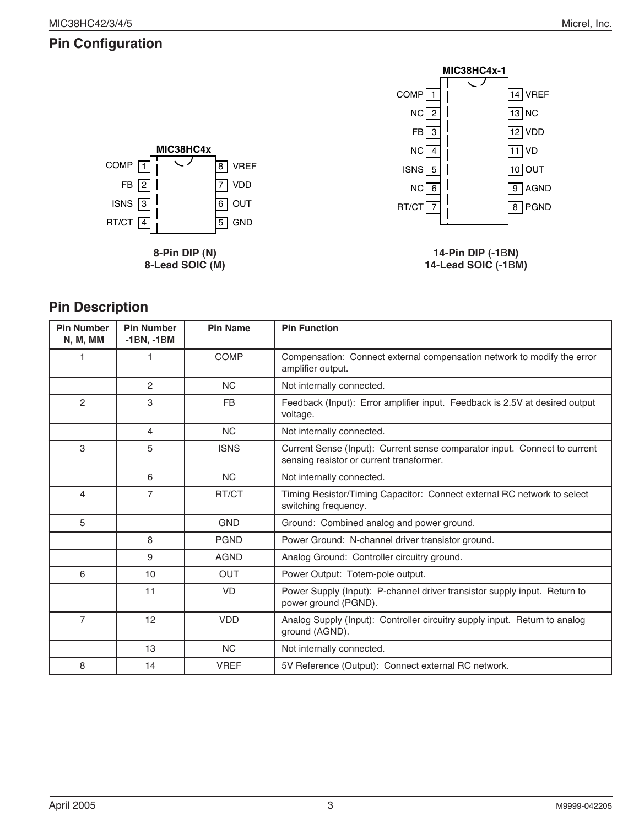## **Pin Configuration**



**8-Pin DIP (N) 8-Lead SOIC (M)**



**14-Pin DIP (-1**B**N) 14-Lead SOIC (-1**B**M)**

## **Pin Description**

| <b>Pin Number</b><br><b>N, M, MM</b> | <b>Pin Number</b><br>$-1BN$ , $-1BM$ | <b>Pin Name</b> | <b>Pin Function</b>                                                                                                   |
|--------------------------------------|--------------------------------------|-----------------|-----------------------------------------------------------------------------------------------------------------------|
| 1                                    | 1                                    | COMP            | Compensation: Connect external compensation network to modify the error<br>amplifier output.                          |
|                                      | 2                                    | <b>NC</b>       | Not internally connected.                                                                                             |
| 2                                    | 3                                    | <b>FB</b>       | Feedback (Input): Error amplifier input. Feedback is 2.5V at desired output<br>voltage.                               |
|                                      | 4                                    | <b>NC</b>       | Not internally connected.                                                                                             |
| 3                                    | 5                                    | <b>ISNS</b>     | Current Sense (Input): Current sense comparator input. Connect to current<br>sensing resistor or current transformer. |
|                                      | 6                                    | <b>NC</b>       | Not internally connected.                                                                                             |
| $\overline{4}$                       | $\overline{7}$                       | RT/CT           | Timing Resistor/Timing Capacitor: Connect external RC network to select<br>switching frequency.                       |
| 5                                    |                                      | <b>GND</b>      | Ground: Combined analog and power ground.                                                                             |
|                                      | 8                                    | <b>PGND</b>     | Power Ground: N-channel driver transistor ground.                                                                     |
|                                      | 9                                    | <b>AGND</b>     | Analog Ground: Controller circuitry ground.                                                                           |
| 6                                    | 10                                   | <b>OUT</b>      | Power Output: Totem-pole output.                                                                                      |
|                                      | 11                                   | <b>VD</b>       | Power Supply (Input): P-channel driver transistor supply input. Return to<br>power ground (PGND).                     |
| $\overline{7}$                       | 12                                   | <b>VDD</b>      | Analog Supply (Input): Controller circuitry supply input. Return to analog<br>ground (AGND).                          |
|                                      | 13                                   | <b>NC</b>       | Not internally connected.                                                                                             |
| 8                                    | 14                                   | <b>VREF</b>     | 5V Reference (Output): Connect external RC network.                                                                   |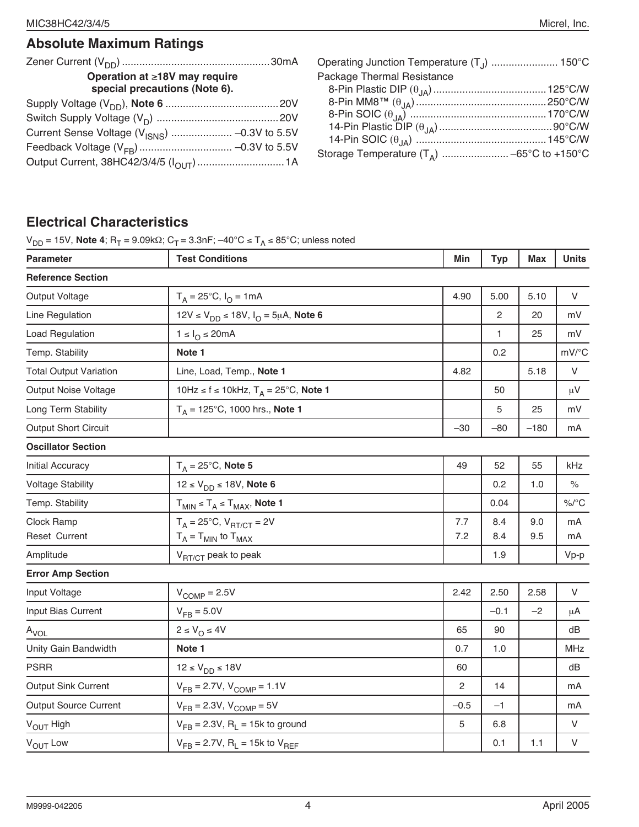| Operation at ≥18V may require<br>special precautions (Note 6). | Operati<br>Packag<br>8-Pin |
|----------------------------------------------------------------|----------------------------|
|                                                                | 8-Pin<br>8-Pin<br>$14-P$   |
|                                                                | $14-P$<br>Storage          |

| Package Thermal Resistance |  |
|----------------------------|--|
|                            |  |
|                            |  |
|                            |  |
|                            |  |
|                            |  |
|                            |  |

## **Electrical Characteristics**

 $V_{DD}$  = 15V, **Note 4**; R<sub>T</sub> = 9.09kΩ; C<sub>T</sub> = 3.3nF; –40°C ≤ T<sub>A</sub> ≤ 85°C; unless noted

| <b>Parameter</b>              | <b>Test Conditions</b>                                    | Min    | <b>Typ</b>     | <b>Max</b> | <b>Units</b> |
|-------------------------------|-----------------------------------------------------------|--------|----------------|------------|--------------|
| <b>Reference Section</b>      |                                                           |        |                |            |              |
| Output Voltage                | $T_A = 25^{\circ}C$ , $I_O = 1mA$                         | 4.90   | 5.00           | 5.10       | V            |
| Line Regulation               | 12V ≤ V <sub>DD</sub> ≤ 18V, I <sub>O</sub> = 5µA, Note 6 |        | $\overline{2}$ | 20         | mV           |
| Load Regulation               | $1 \leq I_{\odot} \leq 20 \text{mA}$                      |        | 1              | 25         | mV           |
| Temp. Stability               | Note 1                                                    |        | 0.2            |            | mV/°C        |
| <b>Total Output Variation</b> | Line, Load, Temp., Note 1                                 | 4.82   |                | 5.18       | V            |
| <b>Output Noise Voltage</b>   | 10Hz ≤ f ≤ 10kHz, $T_A = 25$ °C, Note 1                   |        | 50             |            | $\mu$ V      |
| Long Term Stability           | $T_A = 125^{\circ}$ C, 1000 hrs., Note 1                  |        | 5              | 25         | mV           |
| Output Short Circuit          |                                                           | $-30$  | $-80$          | $-180$     | mA           |
| <b>Oscillator Section</b>     |                                                           |        |                |            |              |
| Initial Accuracy              | $T_A = 25^{\circ}$ C, Note 5                              | 49     | 52             | 55         | kHz          |
| <b>Voltage Stability</b>      | $12 \le V_{DD} \le 18V$ , Note 6                          |        | 0.2            | 1.0        | $\%$         |
| Temp. Stability               | $T_{MIN} \le T_A \le T_{MAX}$ , Note 1                    |        | 0.04           |            | $\%$ /°C     |
| Clock Ramp                    | $T_A = 25^{\circ}C$ , $V_{\text{RT/CT}} = 2V$             | 7.7    | 8.4            | 9.0        | mA           |
| <b>Reset Current</b>          | $T_A = T_{MIN}$ to $T_{MAX}$                              | 7.2    | 8.4            | 9.5        | mA           |
| Amplitude                     | V <sub>RT/CT</sub> peak to peak                           |        | 1.9            |            | $Vp-p$       |
| <b>Error Amp Section</b>      |                                                           |        |                |            |              |
| Input Voltage                 | $V_{\text{COMP}} = 2.5V$                                  | 2.42   | 2.50           | 2.58       | V            |
| Input Bias Current            | $V_{FB} = 5.0V$                                           |        | $-0.1$         | $-2$       | μA           |
| $A_{VOL}$                     | $2 \leq V_{\Omega} \leq 4V$                               | 65     | 90             |            | dB           |
| Unity Gain Bandwidth          | Note 1                                                    | 0.7    | 1.0            |            | MHz          |
| <b>PSRR</b>                   | $12 \le V_{DD} \le 18V$                                   | 60     |                |            | dB           |
| <b>Output Sink Current</b>    | $V_{FB} = 2.7V, V_{COMP} = 1.1V$                          | 2      | 14             |            | mA           |
| <b>Output Source Current</b>  | $V_{FB} = 2.3V, V_{COMP} = 5V$                            | $-0.5$ | $-1$           |            | mA           |
| V <sub>OUT</sub> High         | $V_{FB} = 2.3V$ , R <sub>L</sub> = 15k to ground          | 5      | 6.8            |            | V            |
| V <sub>OUT</sub> Low          | $V_{FB}$ = 2.7V, R <sub>1</sub> = 15k to $V_{BFF}$        |        | 0.1            | 1.1        | $\mathsf{V}$ |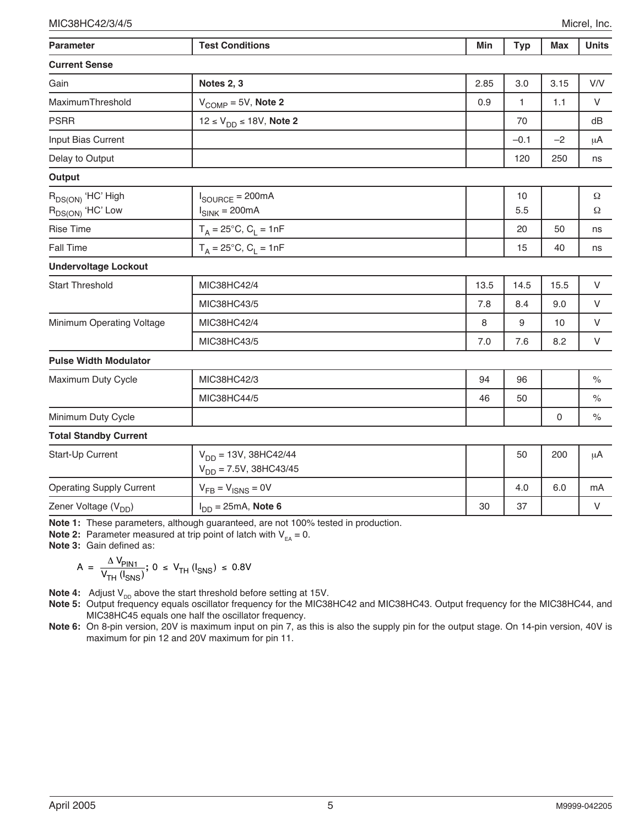| <b>Parameter</b>                                | <b>Test Conditions</b>                                    | Min  | <b>Typ</b> | <b>Max</b>          | <b>Units</b>  |
|-------------------------------------------------|-----------------------------------------------------------|------|------------|---------------------|---------------|
| <b>Current Sense</b>                            |                                                           |      |            |                     |               |
| Gain                                            | Notes 2, 3                                                | 2.85 | 3.0        | 3.15                | V/V           |
| MaximumThreshold                                | $VCOMP = 5V$ , Note 2                                     | 0.9  | 1          | 1.1                 | V             |
| <b>PSRR</b>                                     | $12 \le V_{DD} \le 18V$ , Note 2                          |      | 70         |                     | dB            |
| Input Bias Current                              |                                                           |      | $-0.1$     | $-2$                | μA            |
| Delay to Output                                 |                                                           |      | 120        | 250                 | ns            |
| Output                                          |                                                           |      |            |                     |               |
| $R_{DS(ON)}$ 'HC' High<br>$R_{DS(ON)}$ 'HC' Low | $I_{\text{SOURCE}} = 200 \text{mA}$<br>$I_{SINK} = 200mA$ |      | 10<br>5.5  |                     | $\Omega$<br>Ω |
| <b>Rise Time</b>                                | $T_A = 25^{\circ}C, C_L = 1nF$                            |      | 20         | 50                  | ns            |
| <b>Fall Time</b>                                | $T_A = 25^{\circ}C, C_L = 1nF$                            |      | 15         | 40                  | ns            |
| <b>Undervoltage Lockout</b>                     |                                                           |      |            |                     |               |
| <b>Start Threshold</b>                          | MIC38HC42/4                                               | 13.5 | 14.5       | 15.5                | V             |
|                                                 | MIC38HC43/5                                               | 7.8  | 8.4        | 9.0                 | V             |
| Minimum Operating Voltage                       | MIC38HC42/4                                               | 8    | 9          | 10                  | V             |
|                                                 | MIC38HC43/5                                               | 7.0  | 7.6        | 8.2                 | V             |
| <b>Pulse Width Modulator</b>                    |                                                           |      |            |                     |               |
| Maximum Duty Cycle                              | MIC38HC42/3                                               | 94   | 96         |                     | $\%$          |
|                                                 | MIC38HC44/5                                               | 46   | 50         |                     | $\%$          |
| Minimum Duty Cycle                              |                                                           |      |            | $\mathsf{O}\xspace$ | $\%$          |
| <b>Total Standby Current</b>                    |                                                           |      |            |                     |               |
| Start-Up Current                                | $V_{DD} = 13V$ , 38HC42/44<br>$V_{DD} = 7.5V, 38HC43/45$  |      | 50         | 200                 | μA            |
| <b>Operating Supply Current</b>                 | $V_{FB} = V_{ISNS} = 0V$                                  |      | 4.0        | 6.0                 | mA            |
| Zener Voltage (V <sub>DD</sub> )                | $I_{DD} = 25mA$ , Note 6                                  | 30   | 37         |                     | V             |

**Note 1:** These parameters, although guaranteed, are not 100% tested in production.

**Note 2:** Parameter measured at trip point of latch with  $V_{EA} = 0$ .

**Note 3:** Gain defined as:

$$
A = \frac{\Delta V_{\text{PIN1}}}{V_{\text{TH}}(I_{\text{SNS}})}; 0 \le V_{\text{TH}}(I_{\text{SNS}}) \le 0.8V
$$

**Note 4:** Adjust  $V_{DD}$  above the start threshold before setting at 15V.

**Note 5:** Output frequency equals oscillator frequency for the MIC38HC42 and MIC38HC43. Output frequency for the MIC38HC44, and MIC38HC45 equals one half the oscillator frequency.

**Note 6:** On 8-pin version, 20V is maximum input on pin 7, as this is also the supply pin for the output stage. On 14-pin version, 40V is maximum for pin 12 and 20V maximum for pin 11.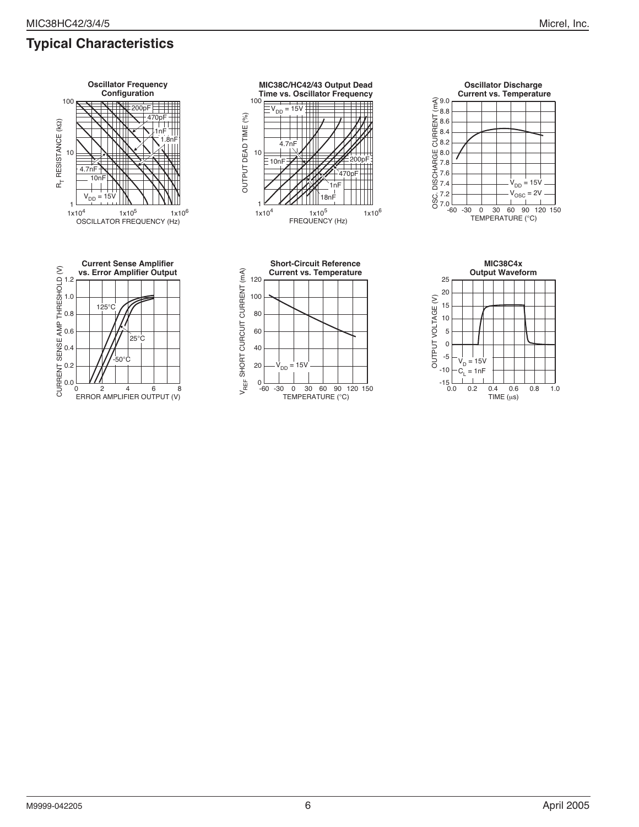







**Oscillator Discharge Current vs. Temperature**

> $V_{DD} = 15V$  $V<sub>OSC</sub> = 2V$

7.2 7.4 7.6 7.8 8.0 8.2 8.4 8.6 8.8 9.0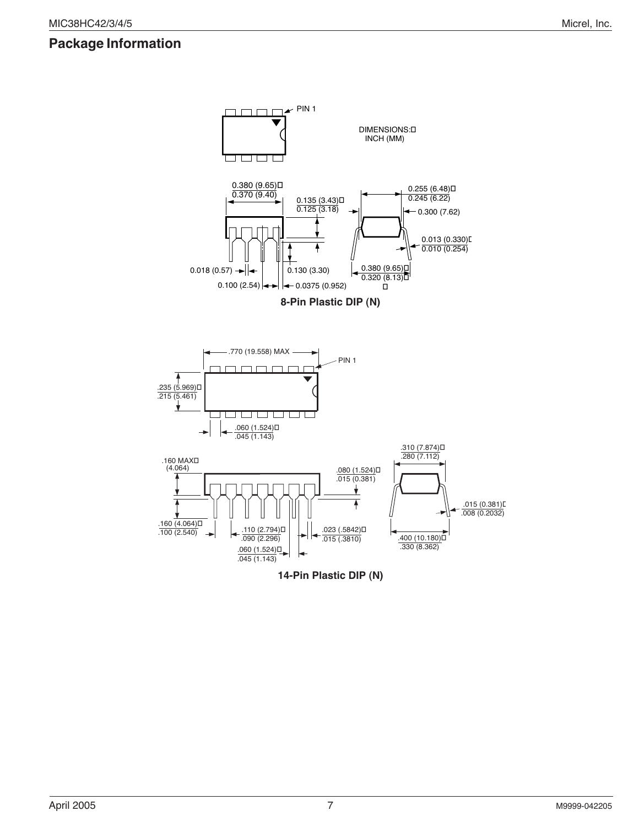### **Package Information**